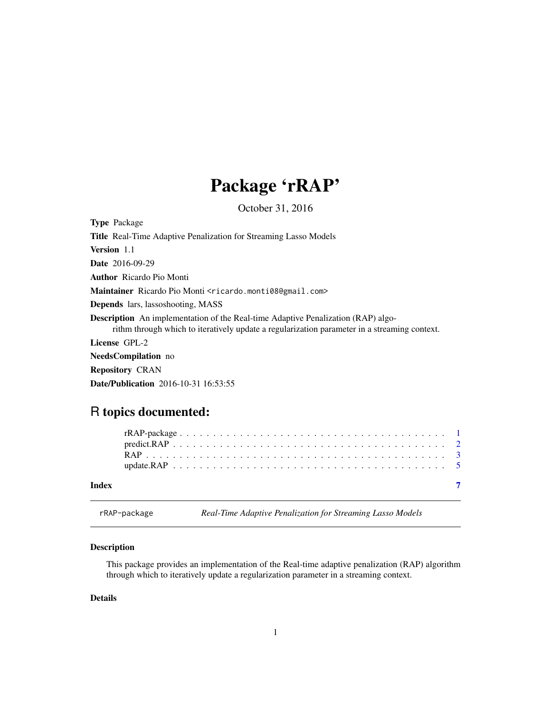## Package 'rRAP'

October 31, 2016

<span id="page-0-0"></span>Type Package Title Real-Time Adaptive Penalization for Streaming Lasso Models Version 1.1 Date 2016-09-29 Author Ricardo Pio Monti Maintainer Ricardo Pio Monti <ricardo.monti08@gmail.com> Depends lars, lassoshooting, MASS Description An implementation of the Real-time Adaptive Penalization (RAP) algorithm through which to iteratively update a regularization parameter in a streaming context. License GPL-2 NeedsCompilation no Repository CRAN

#### Date/Publication 2016-10-31 16:53:55

### R topics documented:

| Index |  |  |  |  |  |  |  |  |  |  |  |  |  |  |  |  |  |  |
|-------|--|--|--|--|--|--|--|--|--|--|--|--|--|--|--|--|--|--|

rRAP-package *Real-Time Adaptive Penalization for Streaming Lasso Models*

#### Description

This package provides an implementation of the Real-time adaptive penalization (RAP) algorithm through which to iteratively update a regularization parameter in a streaming context.

#### Details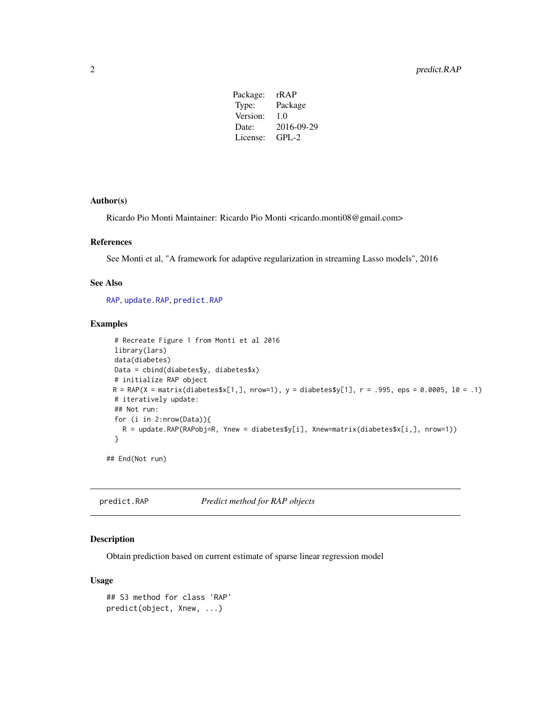| Package: | rR A P     |
|----------|------------|
| Type:    | Package    |
| Version: | 1.0        |
| Date:    | 2016-09-29 |
| License: | $GPL-2$    |
|          |            |

#### <span id="page-1-0"></span>Author(s)

Ricardo Pio Monti Maintainer: Ricardo Pio Monti <ricardo.monti08@gmail.com>

#### References

See Monti et al, "A framework for adaptive regularization in streaming Lasso models", 2016

#### See Also

[RAP](#page-2-1), [update.RAP](#page-4-1), [predict.RAP](#page-1-1)

#### Examples

```
# Recreate Figure 1 from Monti et al 2016
 library(lars)
 data(diabetes)
 Data = cbind(diabetes$y, diabetes$x)
 # initialize RAP object
 R = RAP(X = matrix(diabetes $x[1,], nrow=1), y = diabetes $y[1], r = .995,eps = 0.0005, 10 = .1)# iteratively update:
 ## Not run:
 for (i in 2:nrow(Data)){
   R = update.RAP(RAPobj=R, Ynew = diabetes$y[i], Xnew=matrix(diabetes$x[i,], nrow=1))
 }
## End(Not run)
```
<span id="page-1-1"></span>predict.RAP *Predict method for RAP objects*

#### Description

Obtain prediction based on current estimate of sparse linear regression model

#### Usage

```
## S3 method for class 'RAP'
predict(object, Xnew, ...)
```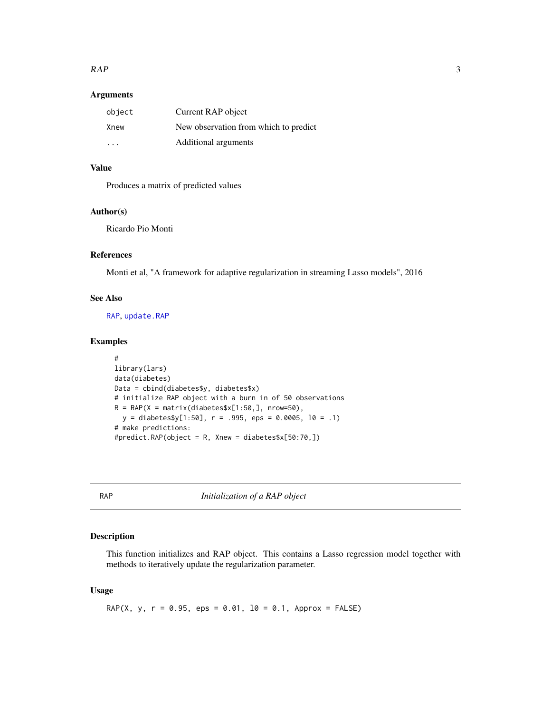#### <span id="page-2-0"></span> $RAP$  3

#### Arguments

| object | Current RAP object                    |
|--------|---------------------------------------|
| Xnew   | New observation from which to predict |
| .      | Additional arguments                  |

#### Value

Produces a matrix of predicted values

#### Author(s)

Ricardo Pio Monti

#### References

Monti et al, "A framework for adaptive regularization in streaming Lasso models", 2016

#### See Also

[RAP](#page-2-1), [update.RAP](#page-4-1)

#### Examples

```
#
library(lars)
data(diabetes)
Data = cbind(diabetes$y, diabetes$x)
# initialize RAP object with a burn in of 50 observations
R = RAP(X = matrix(diabetes $x[1:50,], nrow=50),y = diabetes$y[1:50], r = .995,eps = 0.0005, 10 = .1)# make predictions:
#predict.RAP(object = R, Xnew = diabetes$x[50:70,])
```
<span id="page-2-1"></span>RAP *Initialization of a RAP object*

#### Description

This function initializes and RAP object. This contains a Lasso regression model together with methods to iteratively update the regularization parameter.

#### Usage

RAP(X, y,  $r = 0.95$ , eps = 0.01,  $10 = 0.1$ , Approx = FALSE)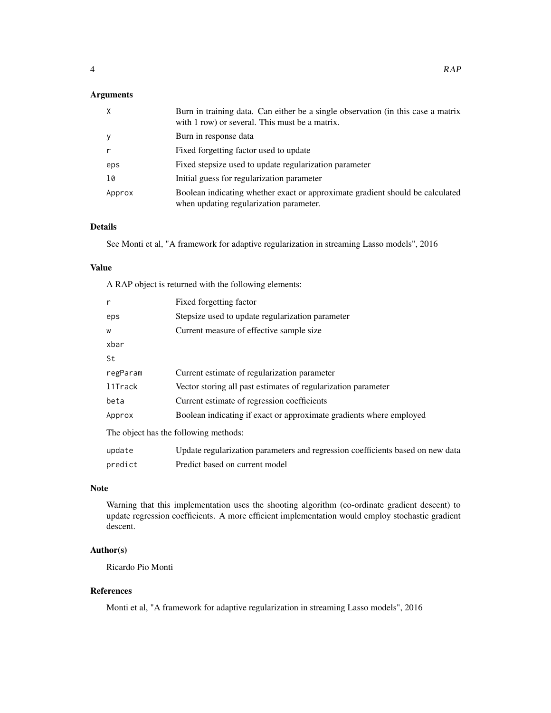#### Arguments

| $\mathsf{X}$ | Burn in training data. Can either be a single observation (in this case a matrix<br>with 1 row) or several. This must be a matrix. |
|--------------|------------------------------------------------------------------------------------------------------------------------------------|
| y            | Burn in response data                                                                                                              |
|              | Fixed forgetting factor used to update                                                                                             |
| eps          | Fixed stepsize used to update regularization parameter                                                                             |
| 10           | Initial guess for regularization parameter                                                                                         |
| Approx       | Boolean indicating whether exact or approximate gradient should be calculated<br>when updating regularization parameter.           |

#### Details

See Monti et al, "A framework for adaptive regularization in streaming Lasso models", 2016

#### Value

A RAP object is returned with the following elements:

| r        | Fixed forgetting factor                                                        |
|----------|--------------------------------------------------------------------------------|
| eps      | Stepsize used to update regularization parameter                               |
| W        | Current measure of effective sample size                                       |
| xbar     |                                                                                |
| St       |                                                                                |
| regParam | Current estimate of regularization parameter                                   |
| 11Track  | Vector storing all past estimates of regularization parameter                  |
| beta     | Current estimate of regression coefficients                                    |
| Approx   | Boolean indicating if exact or approximate gradients where employed            |
|          | The object has the following methods:                                          |
| update   | Update regularization parameters and regression coefficients based on new data |
| predict  | Predict based on current model                                                 |

#### Note

Warning that this implementation uses the shooting algorithm (co-ordinate gradient descent) to update regression coefficients. A more efficient implementation would employ stochastic gradient descent.

#### Author(s)

Ricardo Pio Monti

#### References

Monti et al, "A framework for adaptive regularization in streaming Lasso models", 2016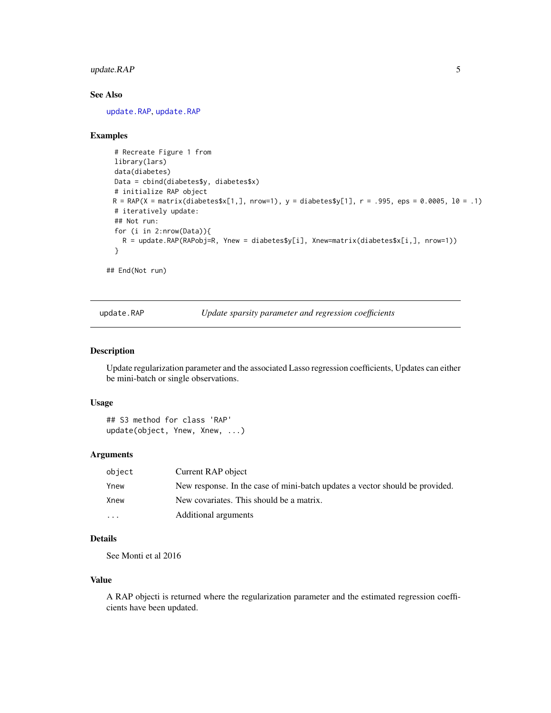#### <span id="page-4-0"></span>update.RAP 5

#### See Also

[update.RAP](#page-4-1), [update.RAP](#page-4-1)

#### Examples

```
# Recreate Figure 1 from
 library(lars)
 data(diabetes)
 Data = cbind(diabetes$y, diabetes$x)
 # initialize RAP object
 R = RAP(X = matrix(diabetes $x[1,], nrow=1), y = diabetes $y[1], r = .995,eps = 0.0005, 10 = .1)# iteratively update:
 ## Not run:
 for (i in 2:nrow(Data)){
   R = update.RAP(RAPobj=R, Ynew = diabetes$y[i], Xnew=matrix(diabetes$x[i,], nrow=1))
 }
## End(Not run)
```
update.RAP *Update sparsity parameter and regression coefficients*

#### Description

Update regularization parameter and the associated Lasso regression coefficients, Updates can either be mini-batch or single observations.

#### Usage

```
## S3 method for class 'RAP'
update(object, Ynew, Xnew, ...)
```
#### Arguments

| object   | Current RAP object                                                           |
|----------|------------------------------------------------------------------------------|
| Ynew     | New response. In the case of mini-batch updates a vector should be provided. |
| Xnew     | New covariates. This should be a matrix.                                     |
| $\cdots$ | Additional arguments                                                         |

#### Details

See Monti et al 2016

#### Value

A RAP objecti is returned where the regularization parameter and the estimated regression coefficients have been updated.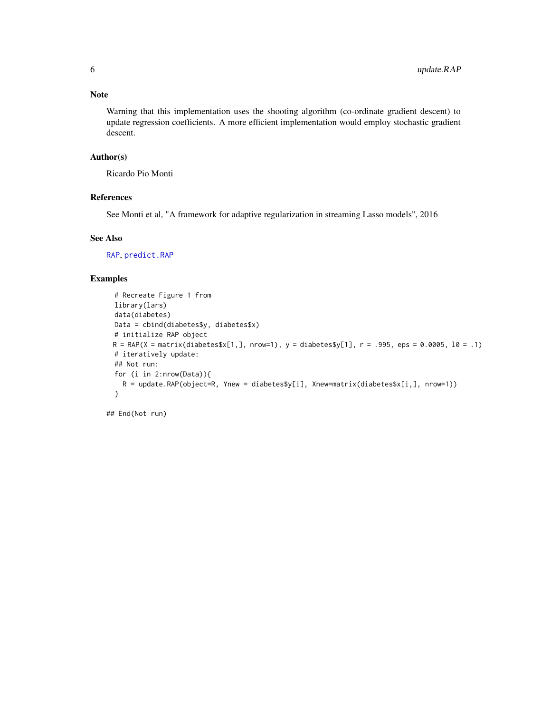#### <span id="page-5-0"></span>Note

Warning that this implementation uses the shooting algorithm (co-ordinate gradient descent) to update regression coefficients. A more efficient implementation would employ stochastic gradient descent.

#### Author(s)

Ricardo Pio Monti

#### References

See Monti et al, "A framework for adaptive regularization in streaming Lasso models", 2016

#### See Also

[RAP](#page-2-1), [predict.RAP](#page-1-1)

#### Examples

```
# Recreate Figure 1 from
library(lars)
data(diabetes)
Data = cbind(diabetes$y, diabetes$x)
# initialize RAP object
R = RAP(X = matrix(diabetes $x[1,], nrow=1), y = diabetes $y[1], r = .995,eps = 0.0005, 10 = .1)# iteratively update:
## Not run:
for (i in 2:nrow(Data)){
  R = update.RAP(object=R, Ynew = diabetes$y[i], Xnew=matrix(diabetes$x[i], nrow=1))}
```
## End(Not run)